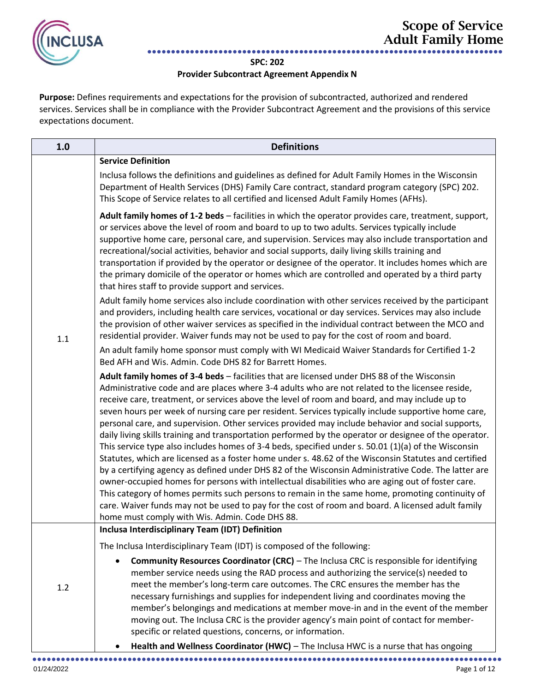

## **SPC: 202**

## **Provider Subcontract Agreement Appendix N**

**Purpose:** Defines requirements and expectations for the provision of subcontracted, authorized and rendered services. Services shall be in compliance with the Provider Subcontract Agreement and the provisions of this service expectations document.

| 1.0 | <b>Definitions</b>                                                                                                                                                                                                                                                                                                                                                                                                                                                                                                                                                                                                                                                                                                                                                                                                                                                                                                                                                                                                                                                                                                                                                                                                                                                                                         |
|-----|------------------------------------------------------------------------------------------------------------------------------------------------------------------------------------------------------------------------------------------------------------------------------------------------------------------------------------------------------------------------------------------------------------------------------------------------------------------------------------------------------------------------------------------------------------------------------------------------------------------------------------------------------------------------------------------------------------------------------------------------------------------------------------------------------------------------------------------------------------------------------------------------------------------------------------------------------------------------------------------------------------------------------------------------------------------------------------------------------------------------------------------------------------------------------------------------------------------------------------------------------------------------------------------------------------|
|     | <b>Service Definition</b>                                                                                                                                                                                                                                                                                                                                                                                                                                                                                                                                                                                                                                                                                                                                                                                                                                                                                                                                                                                                                                                                                                                                                                                                                                                                                  |
|     | Inclusa follows the definitions and guidelines as defined for Adult Family Homes in the Wisconsin<br>Department of Health Services (DHS) Family Care contract, standard program category (SPC) 202.<br>This Scope of Service relates to all certified and licensed Adult Family Homes (AFHs).                                                                                                                                                                                                                                                                                                                                                                                                                                                                                                                                                                                                                                                                                                                                                                                                                                                                                                                                                                                                              |
|     | Adult family homes of 1-2 beds - facilities in which the operator provides care, treatment, support,<br>or services above the level of room and board to up to two adults. Services typically include<br>supportive home care, personal care, and supervision. Services may also include transportation and<br>recreational/social activities, behavior and social supports, daily living skills training and<br>transportation if provided by the operator or designee of the operator. It includes homes which are<br>the primary domicile of the operator or homes which are controlled and operated by a third party<br>that hires staff to provide support and services.                                                                                                                                                                                                                                                                                                                                                                                                                                                                                                                                                                                                                              |
| 1.1 | Adult family home services also include coordination with other services received by the participant<br>and providers, including health care services, vocational or day services. Services may also include<br>the provision of other waiver services as specified in the individual contract between the MCO and<br>residential provider. Waiver funds may not be used to pay for the cost of room and board.                                                                                                                                                                                                                                                                                                                                                                                                                                                                                                                                                                                                                                                                                                                                                                                                                                                                                            |
|     | An adult family home sponsor must comply with WI Medicaid Waiver Standards for Certified 1-2<br>Bed AFH and Wis. Admin. Code DHS 82 for Barrett Homes.                                                                                                                                                                                                                                                                                                                                                                                                                                                                                                                                                                                                                                                                                                                                                                                                                                                                                                                                                                                                                                                                                                                                                     |
|     | Adult family homes of 3-4 beds - facilities that are licensed under DHS 88 of the Wisconsin<br>Administrative code and are places where 3-4 adults who are not related to the licensee reside,<br>receive care, treatment, or services above the level of room and board, and may include up to<br>seven hours per week of nursing care per resident. Services typically include supportive home care,<br>personal care, and supervision. Other services provided may include behavior and social supports,<br>daily living skills training and transportation performed by the operator or designee of the operator.<br>This service type also includes homes of 3-4 beds, specified under s. 50.01 (1)(a) of the Wisconsin<br>Statutes, which are licensed as a foster home under s. 48.62 of the Wisconsin Statutes and certified<br>by a certifying agency as defined under DHS 82 of the Wisconsin Administrative Code. The latter are<br>owner-occupied homes for persons with intellectual disabilities who are aging out of foster care.<br>This category of homes permits such persons to remain in the same home, promoting continuity of<br>care. Waiver funds may not be used to pay for the cost of room and board. A licensed adult family<br>home must comply with Wis. Admin. Code DHS 88. |
|     | Inclusa Interdisciplinary Team (IDT) Definition                                                                                                                                                                                                                                                                                                                                                                                                                                                                                                                                                                                                                                                                                                                                                                                                                                                                                                                                                                                                                                                                                                                                                                                                                                                            |
|     | The Inclusa Interdisciplinary Team (IDT) is composed of the following:                                                                                                                                                                                                                                                                                                                                                                                                                                                                                                                                                                                                                                                                                                                                                                                                                                                                                                                                                                                                                                                                                                                                                                                                                                     |
| 1.2 | <b>Community Resources Coordinator (CRC)</b> - The Inclusa CRC is responsible for identifying<br>member service needs using the RAD process and authorizing the service(s) needed to<br>meet the member's long-term care outcomes. The CRC ensures the member has the<br>necessary furnishings and supplies for independent living and coordinates moving the<br>member's belongings and medications at member move-in and in the event of the member<br>moving out. The Inclusa CRC is the provider agency's main point of contact for member-<br>specific or related questions, concerns, or information.<br>Health and Wellness Coordinator (HWC) - The Inclusa HWC is a nurse that has ongoing<br>$\bullet$                                                                                                                                                                                                                                                                                                                                                                                                                                                                                                                                                                                            |
|     |                                                                                                                                                                                                                                                                                                                                                                                                                                                                                                                                                                                                                                                                                                                                                                                                                                                                                                                                                                                                                                                                                                                                                                                                                                                                                                            |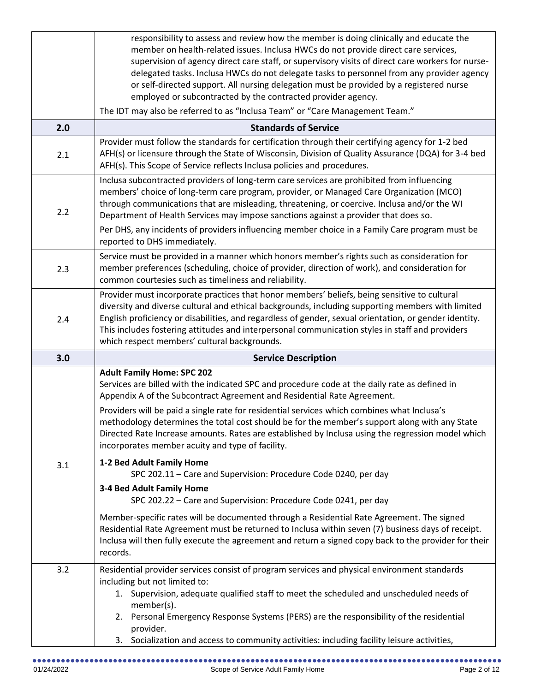|     | responsibility to assess and review how the member is doing clinically and educate the<br>member on health-related issues. Inclusa HWCs do not provide direct care services,                                                                                                                                                                                                                                                                                                                                       |
|-----|--------------------------------------------------------------------------------------------------------------------------------------------------------------------------------------------------------------------------------------------------------------------------------------------------------------------------------------------------------------------------------------------------------------------------------------------------------------------------------------------------------------------|
|     | supervision of agency direct care staff, or supervisory visits of direct care workers for nurse-<br>delegated tasks. Inclusa HWCs do not delegate tasks to personnel from any provider agency<br>or self-directed support. All nursing delegation must be provided by a registered nurse<br>employed or subcontracted by the contracted provider agency.                                                                                                                                                           |
|     | The IDT may also be referred to as "Inclusa Team" or "Care Management Team."                                                                                                                                                                                                                                                                                                                                                                                                                                       |
| 2.0 | <b>Standards of Service</b>                                                                                                                                                                                                                                                                                                                                                                                                                                                                                        |
| 2.1 | Provider must follow the standards for certification through their certifying agency for 1-2 bed<br>AFH(s) or licensure through the State of Wisconsin, Division of Quality Assurance (DQA) for 3-4 bed<br>AFH(s). This Scope of Service reflects Inclusa policies and procedures.                                                                                                                                                                                                                                 |
| 2.2 | Inclusa subcontracted providers of long-term care services are prohibited from influencing<br>members' choice of long-term care program, provider, or Managed Care Organization (MCO)<br>through communications that are misleading, threatening, or coercive. Inclusa and/or the WI<br>Department of Health Services may impose sanctions against a provider that does so.<br>Per DHS, any incidents of providers influencing member choice in a Family Care program must be<br>reported to DHS immediately.      |
| 2.3 | Service must be provided in a manner which honors member's rights such as consideration for<br>member preferences (scheduling, choice of provider, direction of work), and consideration for<br>common courtesies such as timeliness and reliability.                                                                                                                                                                                                                                                              |
| 2.4 | Provider must incorporate practices that honor members' beliefs, being sensitive to cultural<br>diversity and diverse cultural and ethical backgrounds, including supporting members with limited<br>English proficiency or disabilities, and regardless of gender, sexual orientation, or gender identity.<br>This includes fostering attitudes and interpersonal communication styles in staff and providers                                                                                                     |
|     | which respect members' cultural backgrounds.                                                                                                                                                                                                                                                                                                                                                                                                                                                                       |
| 3.0 | <b>Service Description</b>                                                                                                                                                                                                                                                                                                                                                                                                                                                                                         |
|     | <b>Adult Family Home: SPC 202</b><br>Services are billed with the indicated SPC and procedure code at the daily rate as defined in<br>Appendix A of the Subcontract Agreement and Residential Rate Agreement.<br>Providers will be paid a single rate for residential services which combines what Inclusa's<br>methodology determines the total cost should be for the member's support along with any State<br>Directed Rate Increase amounts. Rates are established by Inclusa using the regression model which |
| 3.1 | incorporates member acuity and type of facility.<br>1-2 Bed Adult Family Home<br>SPC 202.11 - Care and Supervision: Procedure Code 0240, per day<br>3-4 Bed Adult Family Home<br>SPC 202.22 - Care and Supervision: Procedure Code 0241, per day                                                                                                                                                                                                                                                                   |
|     | Member-specific rates will be documented through a Residential Rate Agreement. The signed<br>Residential Rate Agreement must be returned to Inclusa within seven (7) business days of receipt.<br>Inclusa will then fully execute the agreement and return a signed copy back to the provider for their<br>records.                                                                                                                                                                                                |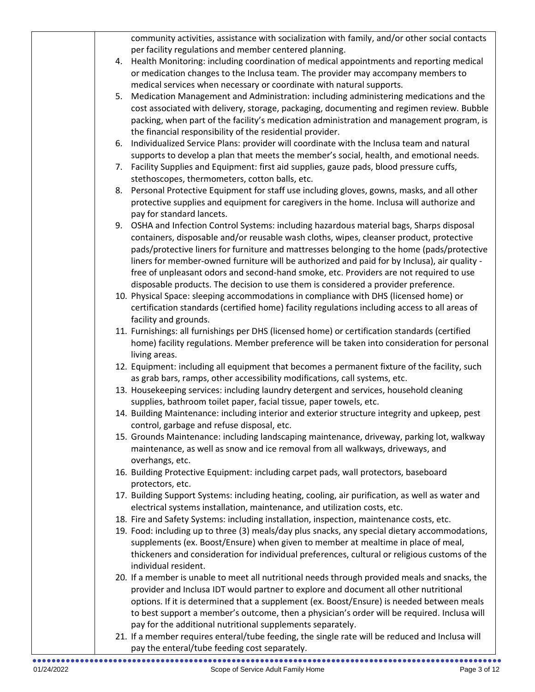|    | community activities, assistance with socialization with family, and/or other social contacts                                                                        |
|----|----------------------------------------------------------------------------------------------------------------------------------------------------------------------|
|    | per facility regulations and member centered planning.                                                                                                               |
| 4. | Health Monitoring: including coordination of medical appointments and reporting medical                                                                              |
|    | or medication changes to the Inclusa team. The provider may accompany members to                                                                                     |
|    | medical services when necessary or coordinate with natural supports.                                                                                                 |
| 5. | Medication Management and Administration: including administering medications and the                                                                                |
|    | cost associated with delivery, storage, packaging, documenting and regimen review. Bubble                                                                            |
|    | packing, when part of the facility's medication administration and management program, is                                                                            |
|    | the financial responsibility of the residential provider.                                                                                                            |
| 6. | Individualized Service Plans: provider will coordinate with the Inclusa team and natural                                                                             |
|    | supports to develop a plan that meets the member's social, health, and emotional needs.                                                                              |
| 7. | Facility Supplies and Equipment: first aid supplies, gauze pads, blood pressure cuffs,                                                                               |
|    | stethoscopes, thermometers, cotton balls, etc.                                                                                                                       |
| 8. | Personal Protective Equipment for staff use including gloves, gowns, masks, and all other                                                                            |
|    |                                                                                                                                                                      |
|    | protective supplies and equipment for caregivers in the home. Inclusa will authorize and                                                                             |
|    | pay for standard lancets.                                                                                                                                            |
| 9. | OSHA and Infection Control Systems: including hazardous material bags, Sharps disposal                                                                               |
|    | containers, disposable and/or reusable wash cloths, wipes, cleanser product, protective                                                                              |
|    | pads/protective liners for furniture and mattresses belonging to the home (pads/protective                                                                           |
|    | liners for member-owned furniture will be authorized and paid for by Inclusa), air quality -                                                                         |
|    | free of unpleasant odors and second-hand smoke, etc. Providers are not required to use                                                                               |
|    | disposable products. The decision to use them is considered a provider preference.                                                                                   |
|    | 10. Physical Space: sleeping accommodations in compliance with DHS (licensed home) or                                                                                |
|    | certification standards (certified home) facility regulations including access to all areas of                                                                       |
|    | facility and grounds.                                                                                                                                                |
|    | 11. Furnishings: all furnishings per DHS (licensed home) or certification standards (certified                                                                       |
|    | home) facility regulations. Member preference will be taken into consideration for personal                                                                          |
|    | living areas.                                                                                                                                                        |
|    | 12. Equipment: including all equipment that becomes a permanent fixture of the facility, such                                                                        |
|    | as grab bars, ramps, other accessibility modifications, call systems, etc.                                                                                           |
|    | 13. Housekeeping services: including laundry detergent and services, household cleaning                                                                              |
|    | supplies, bathroom toilet paper, facial tissue, paper towels, etc.<br>14. Building Maintenance: including interior and exterior structure integrity and upkeep, pest |
|    | control, garbage and refuse disposal, etc.                                                                                                                           |
|    | 15. Grounds Maintenance: including landscaping maintenance, driveway, parking lot, walkway                                                                           |
|    | maintenance, as well as snow and ice removal from all walkways, driveways, and                                                                                       |
|    | overhangs, etc.                                                                                                                                                      |
|    | 16. Building Protective Equipment: including carpet pads, wall protectors, baseboard                                                                                 |
|    | protectors, etc.                                                                                                                                                     |
|    | 17. Building Support Systems: including heating, cooling, air purification, as well as water and                                                                     |
|    | electrical systems installation, maintenance, and utilization costs, etc.                                                                                            |
|    | 18. Fire and Safety Systems: including installation, inspection, maintenance costs, etc.                                                                             |
|    | 19. Food: including up to three (3) meals/day plus snacks, any special dietary accommodations,                                                                       |
|    | supplements (ex. Boost/Ensure) when given to member at mealtime in place of meal,                                                                                    |
|    | thickeners and consideration for individual preferences, cultural or religious customs of the                                                                        |
|    | individual resident.                                                                                                                                                 |
|    | 20. If a member is unable to meet all nutritional needs through provided meals and snacks, the                                                                       |
|    | provider and Inclusa IDT would partner to explore and document all other nutritional                                                                                 |
|    | options. If it is determined that a supplement (ex. Boost/Ensure) is needed between meals                                                                            |
|    | to best support a member's outcome, then a physician's order will be required. Inclusa will                                                                          |
|    | pay for the additional nutritional supplements separately.                                                                                                           |
|    | 21. If a member requires enteral/tube feeding, the single rate will be reduced and Inclusa will                                                                      |
|    | pay the enteral/tube feeding cost separately.                                                                                                                        |
|    |                                                                                                                                                                      |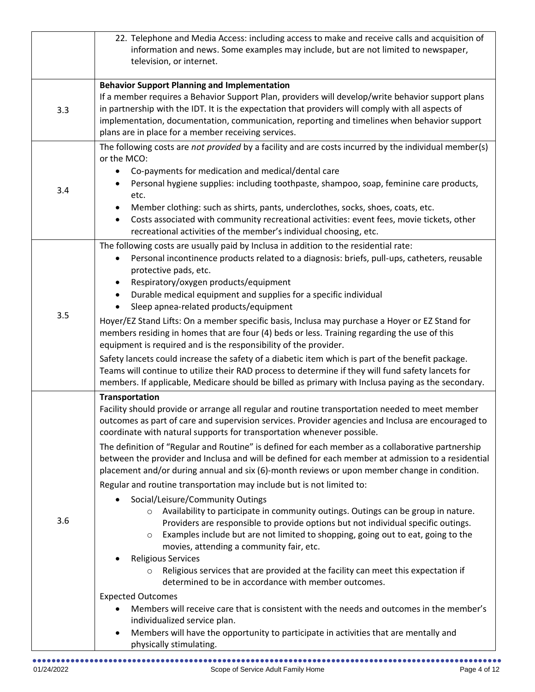|     | 22. Telephone and Media Access: including access to make and receive calls and acquisition of<br>information and news. Some examples may include, but are not limited to newspaper,<br>television, or internet.                                                                                                                                                                                                                                                                                                                                                                                                                                                                                                                                                                                                                                                                                                                                                                                                                                                                                                                                                                                                                                                                                                                                                                                                                                                                                                                  |
|-----|----------------------------------------------------------------------------------------------------------------------------------------------------------------------------------------------------------------------------------------------------------------------------------------------------------------------------------------------------------------------------------------------------------------------------------------------------------------------------------------------------------------------------------------------------------------------------------------------------------------------------------------------------------------------------------------------------------------------------------------------------------------------------------------------------------------------------------------------------------------------------------------------------------------------------------------------------------------------------------------------------------------------------------------------------------------------------------------------------------------------------------------------------------------------------------------------------------------------------------------------------------------------------------------------------------------------------------------------------------------------------------------------------------------------------------------------------------------------------------------------------------------------------------|
| 3.3 | <b>Behavior Support Planning and Implementation</b><br>If a member requires a Behavior Support Plan, providers will develop/write behavior support plans<br>in partnership with the IDT. It is the expectation that providers will comply with all aspects of<br>implementation, documentation, communication, reporting and timelines when behavior support<br>plans are in place for a member receiving services.                                                                                                                                                                                                                                                                                                                                                                                                                                                                                                                                                                                                                                                                                                                                                                                                                                                                                                                                                                                                                                                                                                              |
| 3.4 | The following costs are not provided by a facility and are costs incurred by the individual member(s)<br>or the MCO:<br>Co-payments for medication and medical/dental care<br>$\bullet$<br>Personal hygiene supplies: including toothpaste, shampoo, soap, feminine care products,<br>etc.<br>Member clothing: such as shirts, pants, underclothes, socks, shoes, coats, etc.<br>$\bullet$<br>Costs associated with community recreational activities: event fees, movie tickets, other<br>$\bullet$<br>recreational activities of the member's individual choosing, etc.                                                                                                                                                                                                                                                                                                                                                                                                                                                                                                                                                                                                                                                                                                                                                                                                                                                                                                                                                        |
| 3.5 | The following costs are usually paid by Inclusa in addition to the residential rate:<br>Personal incontinence products related to a diagnosis: briefs, pull-ups, catheters, reusable<br>protective pads, etc.<br>Respiratory/oxygen products/equipment<br>Durable medical equipment and supplies for a specific individual<br>$\bullet$<br>Sleep apnea-related products/equipment<br>Hoyer/EZ Stand Lifts: On a member specific basis, Inclusa may purchase a Hoyer or EZ Stand for<br>members residing in homes that are four (4) beds or less. Training regarding the use of this<br>equipment is required and is the responsibility of the provider.<br>Safety lancets could increase the safety of a diabetic item which is part of the benefit package.<br>Teams will continue to utilize their RAD process to determine if they will fund safety lancets for<br>members. If applicable, Medicare should be billed as primary with Inclusa paying as the secondary.                                                                                                                                                                                                                                                                                                                                                                                                                                                                                                                                                         |
| 3.6 | <b>Transportation</b><br>Facility should provide or arrange all regular and routine transportation needed to meet member<br>outcomes as part of care and supervision services. Provider agencies and Inclusa are encouraged to<br>coordinate with natural supports for transportation whenever possible.<br>The definition of "Regular and Routine" is defined for each member as a collaborative partnership<br>between the provider and Inclusa and will be defined for each member at admission to a residential<br>placement and/or during annual and six (6)-month reviews or upon member change in condition.<br>Regular and routine transportation may include but is not limited to:<br>Social/Leisure/Community Outings<br>Availability to participate in community outings. Outings can be group in nature.<br>$\circ$<br>Providers are responsible to provide options but not individual specific outings.<br>Examples include but are not limited to shopping, going out to eat, going to the<br>$\circ$<br>movies, attending a community fair, etc.<br><b>Religious Services</b><br>Religious services that are provided at the facility can meet this expectation if<br>$\circ$<br>determined to be in accordance with member outcomes.<br><b>Expected Outcomes</b><br>Members will receive care that is consistent with the needs and outcomes in the member's<br>individualized service plan.<br>Members will have the opportunity to participate in activities that are mentally and<br>physically stimulating. |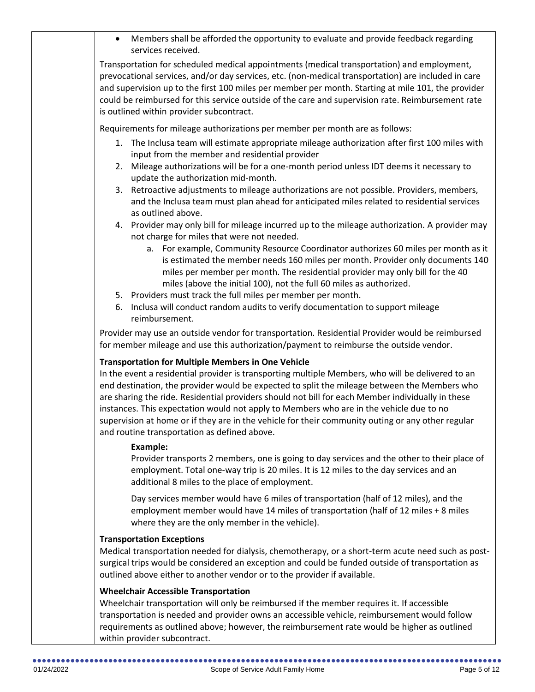|    | Members shall be afforded the opportunity to evaluate and provide feedback regarding<br>services received.                                                                                                                                                                                                                                                                                                                                                                                                                                                                                                          |
|----|---------------------------------------------------------------------------------------------------------------------------------------------------------------------------------------------------------------------------------------------------------------------------------------------------------------------------------------------------------------------------------------------------------------------------------------------------------------------------------------------------------------------------------------------------------------------------------------------------------------------|
|    | Transportation for scheduled medical appointments (medical transportation) and employment,<br>prevocational services, and/or day services, etc. (non-medical transportation) are included in care<br>and supervision up to the first 100 miles per member per month. Starting at mile 101, the provider<br>could be reimbursed for this service outside of the care and supervision rate. Reimbursement rate<br>is outlined within provider subcontract.                                                                                                                                                            |
|    | Requirements for mileage authorizations per member per month are as follows:                                                                                                                                                                                                                                                                                                                                                                                                                                                                                                                                        |
| 2. | 1. The Inclusa team will estimate appropriate mileage authorization after first 100 miles with<br>input from the member and residential provider<br>Mileage authorizations will be for a one-month period unless IDT deems it necessary to                                                                                                                                                                                                                                                                                                                                                                          |
| 3. | update the authorization mid-month.<br>Retroactive adjustments to mileage authorizations are not possible. Providers, members,<br>and the Inclusa team must plan ahead for anticipated miles related to residential services<br>as outlined above.                                                                                                                                                                                                                                                                                                                                                                  |
|    | 4. Provider may only bill for mileage incurred up to the mileage authorization. A provider may                                                                                                                                                                                                                                                                                                                                                                                                                                                                                                                      |
|    | not charge for miles that were not needed.<br>a. For example, Community Resource Coordinator authorizes 60 miles per month as it<br>is estimated the member needs 160 miles per month. Provider only documents 140<br>miles per member per month. The residential provider may only bill for the 40<br>miles (above the initial 100), not the full 60 miles as authorized.                                                                                                                                                                                                                                          |
| 6. | 5. Providers must track the full miles per member per month.<br>Inclusa will conduct random audits to verify documentation to support mileage<br>reimbursement.                                                                                                                                                                                                                                                                                                                                                                                                                                                     |
|    | Provider may use an outside vendor for transportation. Residential Provider would be reimbursed<br>for member mileage and use this authorization/payment to reimburse the outside vendor.                                                                                                                                                                                                                                                                                                                                                                                                                           |
|    | <b>Transportation for Multiple Members in One Vehicle</b><br>In the event a residential provider is transporting multiple Members, who will be delivered to an<br>end destination, the provider would be expected to split the mileage between the Members who<br>are sharing the ride. Residential providers should not bill for each Member individually in these<br>instances. This expectation would not apply to Members who are in the vehicle due to no<br>supervision at home or if they are in the vehicle for their community outing or any other regular<br>and routine transportation as defined above. |
|    | <b>Example:</b><br>Provider transports 2 members, one is going to day services and the other to their place of<br>employment. Total one-way trip is 20 miles. It is 12 miles to the day services and an<br>additional 8 miles to the place of employment.                                                                                                                                                                                                                                                                                                                                                           |
|    | Day services member would have 6 miles of transportation (half of 12 miles), and the<br>employment member would have 14 miles of transportation (half of 12 miles + 8 miles<br>where they are the only member in the vehicle).                                                                                                                                                                                                                                                                                                                                                                                      |
|    | <b>Transportation Exceptions</b><br>Medical transportation needed for dialysis, chemotherapy, or a short-term acute need such as post-<br>surgical trips would be considered an exception and could be funded outside of transportation as<br>outlined above either to another vendor or to the provider if available.                                                                                                                                                                                                                                                                                              |
|    | <b>Wheelchair Accessible Transportation</b><br>Wheelchair transportation will only be reimbursed if the member requires it If accessible                                                                                                                                                                                                                                                                                                                                                                                                                                                                            |

Wheelchair transportation will only be reimbursed if the member requires it. If accessible transportation is needed and provider owns an accessible vehicle, reimbursement would follow requirements as outlined above; however, the reimbursement rate would be higher as outlined within provider subcontract.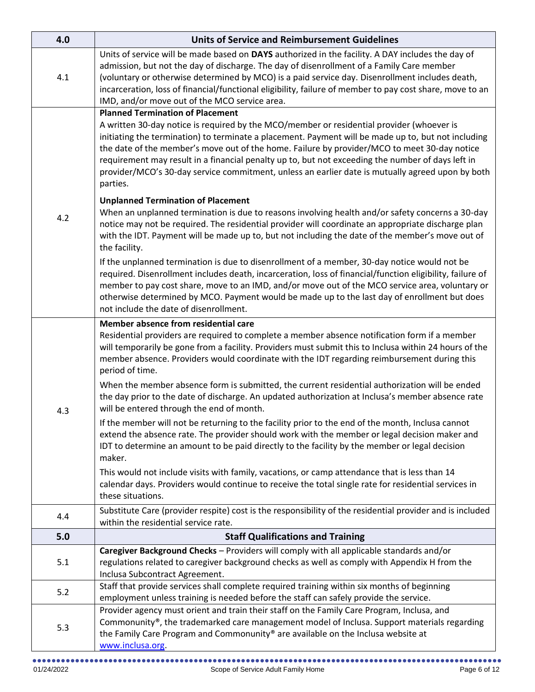| 4.0 | <b>Units of Service and Reimbursement Guidelines</b>                                                                                                                                                                                                                                                                                                                                                                                                                                                                                                                                                                                                                                                                                                                                                                                                                                                                                                                                                                                                                                                                                                                                                                                                                                                                                                                                                   |
|-----|--------------------------------------------------------------------------------------------------------------------------------------------------------------------------------------------------------------------------------------------------------------------------------------------------------------------------------------------------------------------------------------------------------------------------------------------------------------------------------------------------------------------------------------------------------------------------------------------------------------------------------------------------------------------------------------------------------------------------------------------------------------------------------------------------------------------------------------------------------------------------------------------------------------------------------------------------------------------------------------------------------------------------------------------------------------------------------------------------------------------------------------------------------------------------------------------------------------------------------------------------------------------------------------------------------------------------------------------------------------------------------------------------------|
| 4.1 | Units of service will be made based on DAYS authorized in the facility. A DAY includes the day of<br>admission, but not the day of discharge. The day of disenrollment of a Family Care member<br>(voluntary or otherwise determined by MCO) is a paid service day. Disenrollment includes death,<br>incarceration, loss of financial/functional eligibility, failure of member to pay cost share, move to an<br>IMD, and/or move out of the MCO service area.                                                                                                                                                                                                                                                                                                                                                                                                                                                                                                                                                                                                                                                                                                                                                                                                                                                                                                                                         |
| 4.2 | <b>Planned Termination of Placement</b><br>A written 30-day notice is required by the MCO/member or residential provider (whoever is<br>initiating the termination) to terminate a placement. Payment will be made up to, but not including<br>the date of the member's move out of the home. Failure by provider/MCO to meet 30-day notice<br>requirement may result in a financial penalty up to, but not exceeding the number of days left in<br>provider/MCO's 30-day service commitment, unless an earlier date is mutually agreed upon by both<br>parties.<br><b>Unplanned Termination of Placement</b><br>When an unplanned termination is due to reasons involving health and/or safety concerns a 30-day<br>notice may not be required. The residential provider will coordinate an appropriate discharge plan<br>with the IDT. Payment will be made up to, but not including the date of the member's move out of<br>the facility.<br>If the unplanned termination is due to disenrollment of a member, 30-day notice would not be<br>required. Disenrollment includes death, incarceration, loss of financial/function eligibility, failure of<br>member to pay cost share, move to an IMD, and/or move out of the MCO service area, voluntary or<br>otherwise determined by MCO. Payment would be made up to the last day of enrollment but does<br>not include the date of disenrollment. |
| 4.3 | Member absence from residential care<br>Residential providers are required to complete a member absence notification form if a member<br>will temporarily be gone from a facility. Providers must submit this to Inclusa within 24 hours of the<br>member absence. Providers would coordinate with the IDT regarding reimbursement during this<br>period of time.<br>When the member absence form is submitted, the current residential authorization will be ended<br>the day prior to the date of discharge. An updated authorization at Inclusa's member absence rate<br>will be entered through the end of month.<br>If the member will not be returning to the facility prior to the end of the month, Inclusa cannot<br>extend the absence rate. The provider should work with the member or legal decision maker and<br>IDT to determine an amount to be paid directly to the facility by the member or legal decision<br>maker.<br>This would not include visits with family, vacations, or camp attendance that is less than 14<br>calendar days. Providers would continue to receive the total single rate for residential services in<br>these situations.                                                                                                                                                                                                                                  |
| 4.4 | Substitute Care (provider respite) cost is the responsibility of the residential provider and is included<br>within the residential service rate.                                                                                                                                                                                                                                                                                                                                                                                                                                                                                                                                                                                                                                                                                                                                                                                                                                                                                                                                                                                                                                                                                                                                                                                                                                                      |
| 5.0 | <b>Staff Qualifications and Training</b>                                                                                                                                                                                                                                                                                                                                                                                                                                                                                                                                                                                                                                                                                                                                                                                                                                                                                                                                                                                                                                                                                                                                                                                                                                                                                                                                                               |
| 5.1 | Caregiver Background Checks - Providers will comply with all applicable standards and/or<br>regulations related to caregiver background checks as well as comply with Appendix H from the<br>Inclusa Subcontract Agreement.                                                                                                                                                                                                                                                                                                                                                                                                                                                                                                                                                                                                                                                                                                                                                                                                                                                                                                                                                                                                                                                                                                                                                                            |
| 5.2 | Staff that provide services shall complete required training within six months of beginning<br>employment unless training is needed before the staff can safely provide the service.                                                                                                                                                                                                                                                                                                                                                                                                                                                                                                                                                                                                                                                                                                                                                                                                                                                                                                                                                                                                                                                                                                                                                                                                                   |
| 5.3 | Provider agency must orient and train their staff on the Family Care Program, Inclusa, and<br>Commonunity®, the trademarked care management model of Inclusa. Support materials regarding<br>the Family Care Program and Commonunity® are available on the Inclusa website at<br>www.inclusa.org                                                                                                                                                                                                                                                                                                                                                                                                                                                                                                                                                                                                                                                                                                                                                                                                                                                                                                                                                                                                                                                                                                       |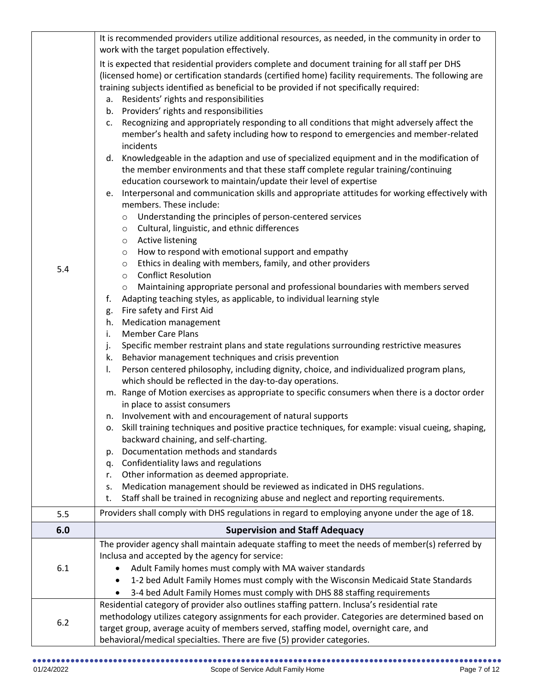|     | It is recommended providers utilize additional resources, as needed, in the community in order to                                                                                                                                                                                                                                                                                                                                                                                                                                                                                                                                                                                                                                                                                                                                                                                                                                                                                                                                                                                                                                                                                                                                                                                                                                                                                                                                                                                                                                                                                                                                                                                                                                                                                                                                                                                                                                                                                                                                                                                                                                                                                                                                                                                                                                                                                                                                                                     |
|-----|-----------------------------------------------------------------------------------------------------------------------------------------------------------------------------------------------------------------------------------------------------------------------------------------------------------------------------------------------------------------------------------------------------------------------------------------------------------------------------------------------------------------------------------------------------------------------------------------------------------------------------------------------------------------------------------------------------------------------------------------------------------------------------------------------------------------------------------------------------------------------------------------------------------------------------------------------------------------------------------------------------------------------------------------------------------------------------------------------------------------------------------------------------------------------------------------------------------------------------------------------------------------------------------------------------------------------------------------------------------------------------------------------------------------------------------------------------------------------------------------------------------------------------------------------------------------------------------------------------------------------------------------------------------------------------------------------------------------------------------------------------------------------------------------------------------------------------------------------------------------------------------------------------------------------------------------------------------------------------------------------------------------------------------------------------------------------------------------------------------------------------------------------------------------------------------------------------------------------------------------------------------------------------------------------------------------------------------------------------------------------------------------------------------------------------------------------------------------------|
| 5.4 | work with the target population effectively.<br>It is expected that residential providers complete and document training for all staff per DHS<br>(licensed home) or certification standards (certified home) facility requirements. The following are<br>training subjects identified as beneficial to be provided if not specifically required:<br>a. Residents' rights and responsibilities<br>b. Providers' rights and responsibilities<br>Recognizing and appropriately responding to all conditions that might adversely affect the<br>c.<br>member's health and safety including how to respond to emergencies and member-related<br>incidents<br>d. Knowledgeable in the adaption and use of specialized equipment and in the modification of<br>the member environments and that these staff complete regular training/continuing<br>education coursework to maintain/update their level of expertise<br>Interpersonal and communication skills and appropriate attitudes for working effectively with<br>e.<br>members. These include:<br>Understanding the principles of person-centered services<br>$\circ$<br>Cultural, linguistic, and ethnic differences<br>$\circ$<br>Active listening<br>$\circ$<br>How to respond with emotional support and empathy<br>$\circ$<br>Ethics in dealing with members, family, and other providers<br>$\circ$<br><b>Conflict Resolution</b><br>$\circ$<br>Maintaining appropriate personal and professional boundaries with members served<br>$\circ$<br>Adapting teaching styles, as applicable, to individual learning style<br>f.<br>Fire safety and First Aid<br>g.<br><b>Medication management</b><br>h.<br><b>Member Care Plans</b><br>i.<br>Specific member restraint plans and state regulations surrounding restrictive measures<br>j.<br>Behavior management techniques and crisis prevention<br>k.<br>Person centered philosophy, including dignity, choice, and individualized program plans,<br>I.<br>which should be reflected in the day-to-day operations.<br>m. Range of Motion exercises as appropriate to specific consumers when there is a doctor order<br>in place to assist consumers<br>n. Involvement with and encouragement of natural supports<br>Skill training techniques and positive practice techniques, for example: visual cueing, shaping,<br>0.<br>backward chaining, and self-charting.<br>Documentation methods and standards<br>p.<br>Confidentiality laws and regulations<br>q. |
|     | Other information as deemed appropriate.<br>r.                                                                                                                                                                                                                                                                                                                                                                                                                                                                                                                                                                                                                                                                                                                                                                                                                                                                                                                                                                                                                                                                                                                                                                                                                                                                                                                                                                                                                                                                                                                                                                                                                                                                                                                                                                                                                                                                                                                                                                                                                                                                                                                                                                                                                                                                                                                                                                                                                        |
|     | Medication management should be reviewed as indicated in DHS regulations.<br>s.                                                                                                                                                                                                                                                                                                                                                                                                                                                                                                                                                                                                                                                                                                                                                                                                                                                                                                                                                                                                                                                                                                                                                                                                                                                                                                                                                                                                                                                                                                                                                                                                                                                                                                                                                                                                                                                                                                                                                                                                                                                                                                                                                                                                                                                                                                                                                                                       |
|     | Staff shall be trained in recognizing abuse and neglect and reporting requirements.<br>t.                                                                                                                                                                                                                                                                                                                                                                                                                                                                                                                                                                                                                                                                                                                                                                                                                                                                                                                                                                                                                                                                                                                                                                                                                                                                                                                                                                                                                                                                                                                                                                                                                                                                                                                                                                                                                                                                                                                                                                                                                                                                                                                                                                                                                                                                                                                                                                             |
| 5.5 | Providers shall comply with DHS regulations in regard to employing anyone under the age of 18.                                                                                                                                                                                                                                                                                                                                                                                                                                                                                                                                                                                                                                                                                                                                                                                                                                                                                                                                                                                                                                                                                                                                                                                                                                                                                                                                                                                                                                                                                                                                                                                                                                                                                                                                                                                                                                                                                                                                                                                                                                                                                                                                                                                                                                                                                                                                                                        |
| 6.0 | <b>Supervision and Staff Adequacy</b>                                                                                                                                                                                                                                                                                                                                                                                                                                                                                                                                                                                                                                                                                                                                                                                                                                                                                                                                                                                                                                                                                                                                                                                                                                                                                                                                                                                                                                                                                                                                                                                                                                                                                                                                                                                                                                                                                                                                                                                                                                                                                                                                                                                                                                                                                                                                                                                                                                 |
|     | The provider agency shall maintain adequate staffing to meet the needs of member(s) referred by                                                                                                                                                                                                                                                                                                                                                                                                                                                                                                                                                                                                                                                                                                                                                                                                                                                                                                                                                                                                                                                                                                                                                                                                                                                                                                                                                                                                                                                                                                                                                                                                                                                                                                                                                                                                                                                                                                                                                                                                                                                                                                                                                                                                                                                                                                                                                                       |
|     | Inclusa and accepted by the agency for service:                                                                                                                                                                                                                                                                                                                                                                                                                                                                                                                                                                                                                                                                                                                                                                                                                                                                                                                                                                                                                                                                                                                                                                                                                                                                                                                                                                                                                                                                                                                                                                                                                                                                                                                                                                                                                                                                                                                                                                                                                                                                                                                                                                                                                                                                                                                                                                                                                       |
| 6.1 | Adult Family homes must comply with MA waiver standards                                                                                                                                                                                                                                                                                                                                                                                                                                                                                                                                                                                                                                                                                                                                                                                                                                                                                                                                                                                                                                                                                                                                                                                                                                                                                                                                                                                                                                                                                                                                                                                                                                                                                                                                                                                                                                                                                                                                                                                                                                                                                                                                                                                                                                                                                                                                                                                                               |
|     | 1-2 bed Adult Family Homes must comply with the Wisconsin Medicaid State Standards                                                                                                                                                                                                                                                                                                                                                                                                                                                                                                                                                                                                                                                                                                                                                                                                                                                                                                                                                                                                                                                                                                                                                                                                                                                                                                                                                                                                                                                                                                                                                                                                                                                                                                                                                                                                                                                                                                                                                                                                                                                                                                                                                                                                                                                                                                                                                                                    |
|     | 3-4 bed Adult Family Homes must comply with DHS 88 staffing requirements                                                                                                                                                                                                                                                                                                                                                                                                                                                                                                                                                                                                                                                                                                                                                                                                                                                                                                                                                                                                                                                                                                                                                                                                                                                                                                                                                                                                                                                                                                                                                                                                                                                                                                                                                                                                                                                                                                                                                                                                                                                                                                                                                                                                                                                                                                                                                                                              |
|     | Residential category of provider also outlines staffing pattern. Inclusa's residential rate                                                                                                                                                                                                                                                                                                                                                                                                                                                                                                                                                                                                                                                                                                                                                                                                                                                                                                                                                                                                                                                                                                                                                                                                                                                                                                                                                                                                                                                                                                                                                                                                                                                                                                                                                                                                                                                                                                                                                                                                                                                                                                                                                                                                                                                                                                                                                                           |
|     | methodology utilizes category assignments for each provider. Categories are determined based on                                                                                                                                                                                                                                                                                                                                                                                                                                                                                                                                                                                                                                                                                                                                                                                                                                                                                                                                                                                                                                                                                                                                                                                                                                                                                                                                                                                                                                                                                                                                                                                                                                                                                                                                                                                                                                                                                                                                                                                                                                                                                                                                                                                                                                                                                                                                                                       |
| 6.2 |                                                                                                                                                                                                                                                                                                                                                                                                                                                                                                                                                                                                                                                                                                                                                                                                                                                                                                                                                                                                                                                                                                                                                                                                                                                                                                                                                                                                                                                                                                                                                                                                                                                                                                                                                                                                                                                                                                                                                                                                                                                                                                                                                                                                                                                                                                                                                                                                                                                                       |
|     | target group, average acuity of members served, staffing model, overnight care, and<br>behavioral/medical specialties. There are five (5) provider categories.                                                                                                                                                                                                                                                                                                                                                                                                                                                                                                                                                                                                                                                                                                                                                                                                                                                                                                                                                                                                                                                                                                                                                                                                                                                                                                                                                                                                                                                                                                                                                                                                                                                                                                                                                                                                                                                                                                                                                                                                                                                                                                                                                                                                                                                                                                        |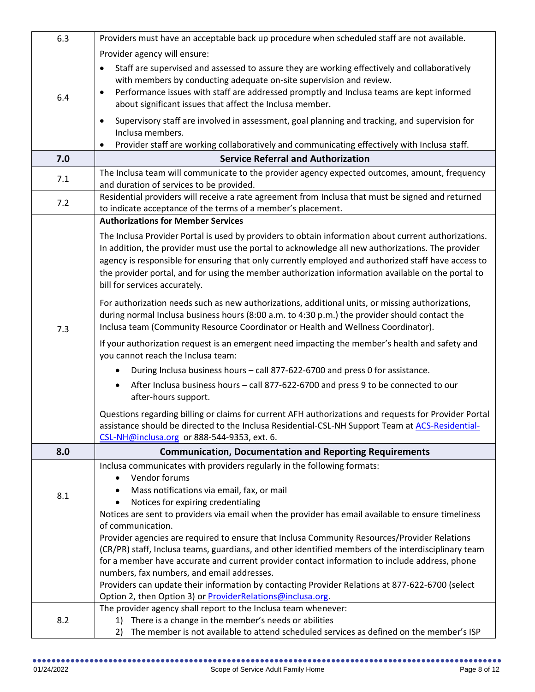| 6.3 | Providers must have an acceptable back up procedure when scheduled staff are not available.                                                                                                               |
|-----|-----------------------------------------------------------------------------------------------------------------------------------------------------------------------------------------------------------|
|     | Provider agency will ensure:                                                                                                                                                                              |
|     | Staff are supervised and assessed to assure they are working effectively and collaboratively<br>$\bullet$                                                                                                 |
|     | with members by conducting adequate on-site supervision and review.                                                                                                                                       |
| 6.4 | Performance issues with staff are addressed promptly and Inclusa teams are kept informed<br>٠                                                                                                             |
|     | about significant issues that affect the Inclusa member.                                                                                                                                                  |
|     | Supervisory staff are involved in assessment, goal planning and tracking, and supervision for<br>٠                                                                                                        |
|     | Inclusa members.                                                                                                                                                                                          |
|     | Provider staff are working collaboratively and communicating effectively with Inclusa staff.<br>٠                                                                                                         |
| 7.0 | <b>Service Referral and Authorization</b>                                                                                                                                                                 |
| 7.1 | The Inclusa team will communicate to the provider agency expected outcomes, amount, frequency                                                                                                             |
|     | and duration of services to be provided.                                                                                                                                                                  |
| 7.2 | Residential providers will receive a rate agreement from Inclusa that must be signed and returned<br>to indicate acceptance of the terms of a member's placement.                                         |
|     | <b>Authorizations for Member Services</b>                                                                                                                                                                 |
|     |                                                                                                                                                                                                           |
|     | The Inclusa Provider Portal is used by providers to obtain information about current authorizations.<br>In addition, the provider must use the portal to acknowledge all new authorizations. The provider |
|     | agency is responsible for ensuring that only currently employed and authorized staff have access to                                                                                                       |
|     | the provider portal, and for using the member authorization information available on the portal to                                                                                                        |
|     | bill for services accurately.                                                                                                                                                                             |
|     | For authorization needs such as new authorizations, additional units, or missing authorizations,                                                                                                          |
|     | during normal Inclusa business hours (8:00 a.m. to 4:30 p.m.) the provider should contact the                                                                                                             |
| 7.3 | Inclusa team (Community Resource Coordinator or Health and Wellness Coordinator).                                                                                                                         |
|     | If your authorization request is an emergent need impacting the member's health and safety and<br>you cannot reach the Inclusa team:                                                                      |
|     | During Inclusa business hours - call 877-622-6700 and press 0 for assistance.                                                                                                                             |
|     | After Inclusa business hours - call 877-622-6700 and press 9 to be connected to our                                                                                                                       |
|     | after-hours support.                                                                                                                                                                                      |
|     | Questions regarding billing or claims for current AFH authorizations and requests for Provider Portal                                                                                                     |
|     | assistance should be directed to the Inclusa Residential-CSL-NH Support Team at ACS-Residential-                                                                                                          |
|     | CSL-NH@inclusa.org or 888-544-9353, ext. 6.                                                                                                                                                               |
| 8.0 | <b>Communication, Documentation and Reporting Requirements</b>                                                                                                                                            |
|     | Inclusa communicates with providers regularly in the following formats:                                                                                                                                   |
|     | Vendor forums<br>$\bullet$                                                                                                                                                                                |
| 8.1 | Mass notifications via email, fax, or mail<br>Notices for expiring credentialing                                                                                                                          |
|     | Notices are sent to providers via email when the provider has email available to ensure timeliness                                                                                                        |
|     | of communication.                                                                                                                                                                                         |
|     | Provider agencies are required to ensure that Inclusa Community Resources/Provider Relations                                                                                                              |
|     | (CR/PR) staff, Inclusa teams, guardians, and other identified members of the interdisciplinary team                                                                                                       |
|     | for a member have accurate and current provider contact information to include address, phone                                                                                                             |
|     | numbers, fax numbers, and email addresses.                                                                                                                                                                |
|     | Providers can update their information by contacting Provider Relations at 877-622-6700 (select                                                                                                           |
|     | Option 2, then Option 3) or <b>ProviderRelations@inclusa.org</b> .<br>The provider agency shall report to the Inclusa team whenever:                                                                      |
| 8.2 | 1) There is a change in the member's needs or abilities                                                                                                                                                   |
|     | The member is not available to attend scheduled services as defined on the member's ISP<br>2)                                                                                                             |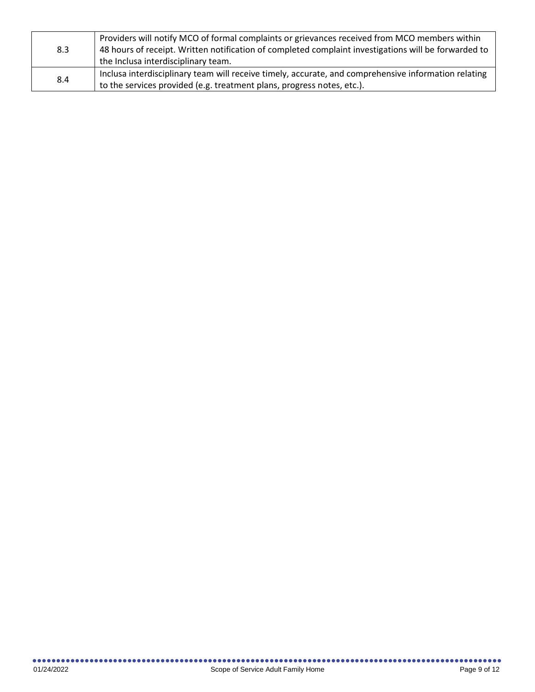| 8.3 | Providers will notify MCO of formal complaints or grievances received from MCO members within<br>48 hours of receipt. Written notification of completed complaint investigations will be forwarded to<br>the Inclusa interdisciplinary team. |
|-----|----------------------------------------------------------------------------------------------------------------------------------------------------------------------------------------------------------------------------------------------|
| 8.4 | Inclusa interdisciplinary team will receive timely, accurate, and comprehensive information relating<br>to the services provided (e.g. treatment plans, progress notes, etc.).                                                               |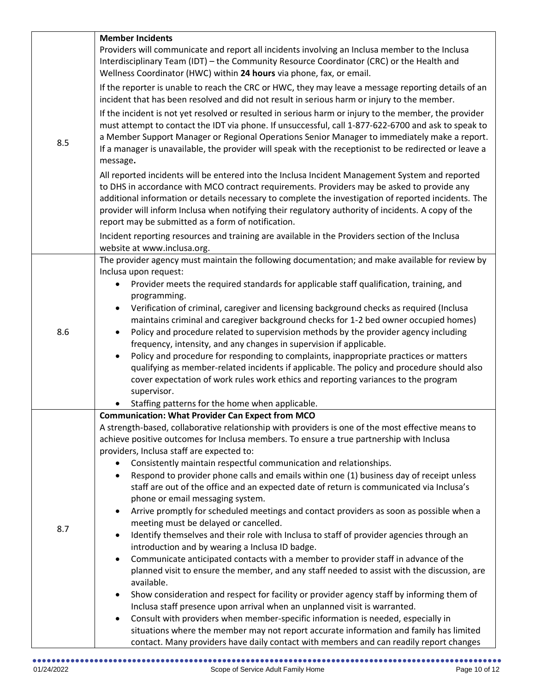|     | <b>Member Incidents</b>                                                                                                                                                                                                                                                                                                                                                                                                                                           |
|-----|-------------------------------------------------------------------------------------------------------------------------------------------------------------------------------------------------------------------------------------------------------------------------------------------------------------------------------------------------------------------------------------------------------------------------------------------------------------------|
|     | Providers will communicate and report all incidents involving an Inclusa member to the Inclusa                                                                                                                                                                                                                                                                                                                                                                    |
|     | Interdisciplinary Team (IDT) - the Community Resource Coordinator (CRC) or the Health and                                                                                                                                                                                                                                                                                                                                                                         |
|     | Wellness Coordinator (HWC) within 24 hours via phone, fax, or email.                                                                                                                                                                                                                                                                                                                                                                                              |
|     | If the reporter is unable to reach the CRC or HWC, they may leave a message reporting details of an<br>incident that has been resolved and did not result in serious harm or injury to the member.                                                                                                                                                                                                                                                                |
| 8.5 | If the incident is not yet resolved or resulted in serious harm or injury to the member, the provider<br>must attempt to contact the IDT via phone. If unsuccessful, call 1-877-622-6700 and ask to speak to<br>a Member Support Manager or Regional Operations Senior Manager to immediately make a report.<br>If a manager is unavailable, the provider will speak with the receptionist to be redirected or leave a<br>message.                                |
|     | All reported incidents will be entered into the Inclusa Incident Management System and reported<br>to DHS in accordance with MCO contract requirements. Providers may be asked to provide any<br>additional information or details necessary to complete the investigation of reported incidents. The<br>provider will inform Inclusa when notifying their regulatory authority of incidents. A copy of the<br>report may be submitted as a form of notification. |
|     | Incident reporting resources and training are available in the Providers section of the Inclusa<br>website at www.inclusa.org.                                                                                                                                                                                                                                                                                                                                    |
|     | The provider agency must maintain the following documentation; and make available for review by                                                                                                                                                                                                                                                                                                                                                                   |
|     | Inclusa upon request:                                                                                                                                                                                                                                                                                                                                                                                                                                             |
|     | Provider meets the required standards for applicable staff qualification, training, and<br>$\bullet$                                                                                                                                                                                                                                                                                                                                                              |
|     | programming.                                                                                                                                                                                                                                                                                                                                                                                                                                                      |
|     | Verification of criminal, caregiver and licensing background checks as required (Inclusa<br>$\bullet$                                                                                                                                                                                                                                                                                                                                                             |
| 8.6 | maintains criminal and caregiver background checks for 1-2 bed owner occupied homes)                                                                                                                                                                                                                                                                                                                                                                              |
|     | Policy and procedure related to supervision methods by the provider agency including<br>frequency, intensity, and any changes in supervision if applicable.                                                                                                                                                                                                                                                                                                       |
|     | Policy and procedure for responding to complaints, inappropriate practices or matters<br>$\bullet$                                                                                                                                                                                                                                                                                                                                                                |
|     | qualifying as member-related incidents if applicable. The policy and procedure should also                                                                                                                                                                                                                                                                                                                                                                        |
|     | cover expectation of work rules work ethics and reporting variances to the program                                                                                                                                                                                                                                                                                                                                                                                |
|     | supervisor.                                                                                                                                                                                                                                                                                                                                                                                                                                                       |
|     | Staffing patterns for the home when applicable.                                                                                                                                                                                                                                                                                                                                                                                                                   |
|     | <b>Communication: What Provider Can Expect from MCO</b>                                                                                                                                                                                                                                                                                                                                                                                                           |
|     | A strength-based, collaborative relationship with providers is one of the most effective means to                                                                                                                                                                                                                                                                                                                                                                 |
|     | achieve positive outcomes for Inclusa members. To ensure a true partnership with Inclusa                                                                                                                                                                                                                                                                                                                                                                          |
|     | providers, Inclusa staff are expected to:                                                                                                                                                                                                                                                                                                                                                                                                                         |
|     | Consistently maintain respectful communication and relationships.                                                                                                                                                                                                                                                                                                                                                                                                 |
|     | Respond to provider phone calls and emails within one (1) business day of receipt unless<br>$\bullet$                                                                                                                                                                                                                                                                                                                                                             |
|     | staff are out of the office and an expected date of return is communicated via Inclusa's                                                                                                                                                                                                                                                                                                                                                                          |
|     | phone or email messaging system.<br>Arrive promptly for scheduled meetings and contact providers as soon as possible when a<br>$\bullet$                                                                                                                                                                                                                                                                                                                          |
|     | meeting must be delayed or cancelled.                                                                                                                                                                                                                                                                                                                                                                                                                             |
| 8.7 | Identify themselves and their role with Inclusa to staff of provider agencies through an<br>$\bullet$                                                                                                                                                                                                                                                                                                                                                             |
|     | introduction and by wearing a Inclusa ID badge.                                                                                                                                                                                                                                                                                                                                                                                                                   |
|     | Communicate anticipated contacts with a member to provider staff in advance of the<br>$\bullet$                                                                                                                                                                                                                                                                                                                                                                   |
|     | planned visit to ensure the member, and any staff needed to assist with the discussion, are                                                                                                                                                                                                                                                                                                                                                                       |
|     | available.                                                                                                                                                                                                                                                                                                                                                                                                                                                        |
|     | Show consideration and respect for facility or provider agency staff by informing them of<br>$\bullet$                                                                                                                                                                                                                                                                                                                                                            |
|     | Inclusa staff presence upon arrival when an unplanned visit is warranted.                                                                                                                                                                                                                                                                                                                                                                                         |
|     | Consult with providers when member-specific information is needed, especially in<br>$\bullet$<br>situations where the member may not report accurate information and family has limited                                                                                                                                                                                                                                                                           |
|     | contact. Many providers have daily contact with members and can readily report changes                                                                                                                                                                                                                                                                                                                                                                            |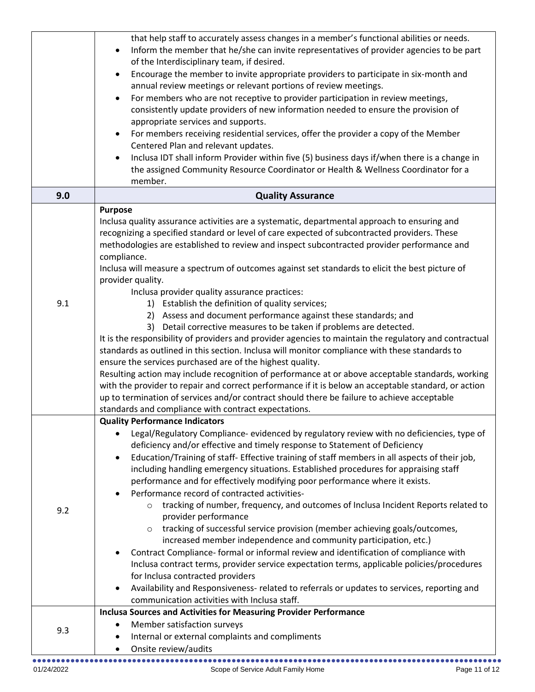|     | that help staff to accurately assess changes in a member's functional abilities or needs.<br>Inform the member that he/she can invite representatives of provider agencies to be part<br>$\bullet$<br>of the Interdisciplinary team, if desired.<br>Encourage the member to invite appropriate providers to participate in six-month and<br>$\bullet$<br>annual review meetings or relevant portions of review meetings.<br>For members who are not receptive to provider participation in review meetings,<br>$\bullet$<br>consistently update providers of new information needed to ensure the provision of<br>appropriate services and supports.<br>For members receiving residential services, offer the provider a copy of the Member<br>$\bullet$                                                                                                                                                                                                                                                                                                                                                                                                                                                                                                                                                                                        |
|-----|-------------------------------------------------------------------------------------------------------------------------------------------------------------------------------------------------------------------------------------------------------------------------------------------------------------------------------------------------------------------------------------------------------------------------------------------------------------------------------------------------------------------------------------------------------------------------------------------------------------------------------------------------------------------------------------------------------------------------------------------------------------------------------------------------------------------------------------------------------------------------------------------------------------------------------------------------------------------------------------------------------------------------------------------------------------------------------------------------------------------------------------------------------------------------------------------------------------------------------------------------------------------------------------------------------------------------------------------------|
|     | Centered Plan and relevant updates.<br>Inclusa IDT shall inform Provider within five (5) business days if/when there is a change in<br>$\bullet$<br>the assigned Community Resource Coordinator or Health & Wellness Coordinator for a<br>member.                                                                                                                                                                                                                                                                                                                                                                                                                                                                                                                                                                                                                                                                                                                                                                                                                                                                                                                                                                                                                                                                                               |
| 9.0 | <b>Quality Assurance</b>                                                                                                                                                                                                                                                                                                                                                                                                                                                                                                                                                                                                                                                                                                                                                                                                                                                                                                                                                                                                                                                                                                                                                                                                                                                                                                                        |
| 9.1 | <b>Purpose</b><br>Inclusa quality assurance activities are a systematic, departmental approach to ensuring and<br>recognizing a specified standard or level of care expected of subcontracted providers. These<br>methodologies are established to review and inspect subcontracted provider performance and<br>compliance.<br>Inclusa will measure a spectrum of outcomes against set standards to elicit the best picture of<br>provider quality.<br>Inclusa provider quality assurance practices:<br>1) Establish the definition of quality services;<br>2) Assess and document performance against these standards; and<br>3) Detail corrective measures to be taken if problems are detected.<br>It is the responsibility of providers and provider agencies to maintain the regulatory and contractual<br>standards as outlined in this section. Inclusa will monitor compliance with these standards to<br>ensure the services purchased are of the highest quality.<br>Resulting action may include recognition of performance at or above acceptable standards, working<br>with the provider to repair and correct performance if it is below an acceptable standard, or action<br>up to termination of services and/or contract should there be failure to achieve acceptable<br>standards and compliance with contract expectations. |
| 9.2 | <b>Quality Performance Indicators</b><br>Legal/Regulatory Compliance- evidenced by regulatory review with no deficiencies, type of<br>deficiency and/or effective and timely response to Statement of Deficiency<br>Education/Training of staff- Effective training of staff members in all aspects of their job,<br>$\bullet$<br>including handling emergency situations. Established procedures for appraising staff<br>performance and for effectively modifying poor performance where it exists.<br>Performance record of contracted activities-<br>$\bullet$<br>tracking of number, frequency, and outcomes of Inclusa Incident Reports related to<br>$\circ$<br>provider performance<br>tracking of successful service provision (member achieving goals/outcomes,<br>increased member independence and community participation, etc.)<br>Contract Compliance- formal or informal review and identification of compliance with<br>$\bullet$<br>Inclusa contract terms, provider service expectation terms, applicable policies/procedures<br>for Inclusa contracted providers<br>Availability and Responsiveness- related to referrals or updates to services, reporting and<br>$\bullet$<br>communication activities with Inclusa staff.                                                                                                |
| 9.3 | <b>Inclusa Sources and Activities for Measuring Provider Performance</b><br>Member satisfaction surveys<br>$\bullet$<br>Internal or external complaints and compliments<br>$\bullet$<br>Onsite review/audits<br>$\bullet$                                                                                                                                                                                                                                                                                                                                                                                                                                                                                                                                                                                                                                                                                                                                                                                                                                                                                                                                                                                                                                                                                                                       |